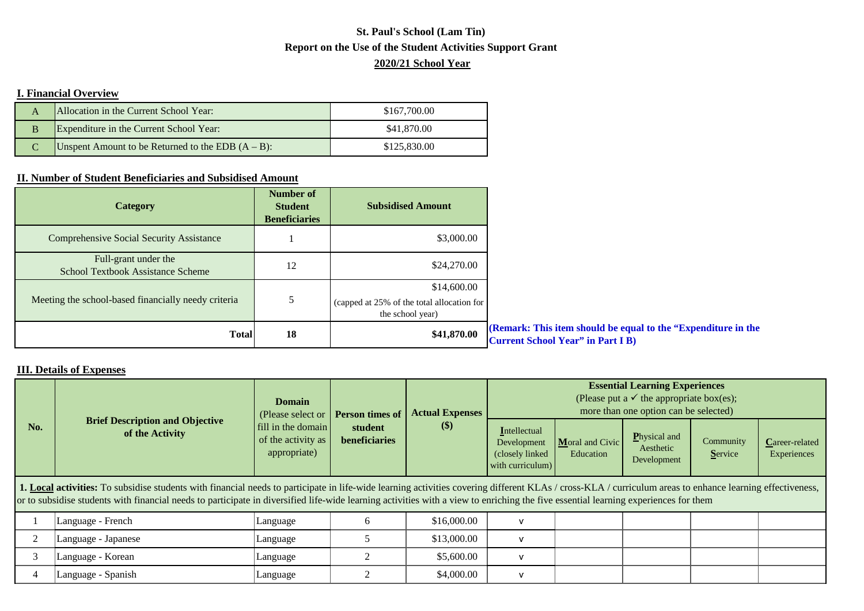## **Report on the Use of the Student Activities Support Grant St. Paul's School (Lam Tin) 2020/21 School Year**

## **I. Financial Overview**

|   | Allocation in the Current School Year:               | \$167,700.00 |
|---|------------------------------------------------------|--------------|
| B | Expenditure in the Current School Year:              | \$41,870.00  |
|   | Unspent Amount to be Returned to the EDB $(A - B)$ : | \$125,830.00 |

## **II. Number of Student Beneficiaries and Subsidised Amount**

| <b>Category</b>                                                  | Number of<br><b>Student</b><br><b>Beneficiaries</b> | <b>Subsidised Amount</b>                                                      |                                                                                                           |
|------------------------------------------------------------------|-----------------------------------------------------|-------------------------------------------------------------------------------|-----------------------------------------------------------------------------------------------------------|
| <b>Comprehensive Social Security Assistance</b>                  |                                                     | \$3,000.00                                                                    |                                                                                                           |
| Full-grant under the<br><b>School Textbook Assistance Scheme</b> | 12                                                  | \$24,270.00                                                                   |                                                                                                           |
| Meeting the school-based financially needy criteria              |                                                     | \$14,600.00<br>(capped at 25% of the total allocation for<br>the school year) |                                                                                                           |
| <b>Total</b>                                                     | 18                                                  | \$41,870.00                                                                   | (Remark: This item should be equal to the "Expenditure in the<br><b>Current School Year" in Part I B)</b> |

## **III. Details of Expenses**

| No.                                                                                                                                                                                                                                                                                                                                                                                              | <b>Brief Description and Objective</b><br>of the Activity | <b>Domain</b><br>(Please select or <b>Person times of</b><br>fill in the domain<br>of the activity as<br>appropriate) | student<br>beneficiaries | <b>Actual Expenses</b><br>$\left( \text{\$}\right)$ | <b>Essential Learning Experiences</b><br>(Please put a $\checkmark$ the appropriate box(es);<br>more than one option can be selected) |                              |                                                  |                      |                                      |
|--------------------------------------------------------------------------------------------------------------------------------------------------------------------------------------------------------------------------------------------------------------------------------------------------------------------------------------------------------------------------------------------------|-----------------------------------------------------------|-----------------------------------------------------------------------------------------------------------------------|--------------------------|-----------------------------------------------------|---------------------------------------------------------------------------------------------------------------------------------------|------------------------------|--------------------------------------------------|----------------------|--------------------------------------|
|                                                                                                                                                                                                                                                                                                                                                                                                  |                                                           |                                                                                                                       |                          |                                                     | Intellectual<br>Development<br>(closely linked)<br>with curriculum)                                                                   | Moral and Civic<br>Education | <b>P</b> hysical and<br>Aesthetic<br>Development | Community<br>Service | <b>Career-related</b><br>Experiences |
| 1. Local activities: To subsidise students with financial needs to participate in life-wide learning activities covering different KLAs / cross-KLA / curriculum areas to enhance learning effectiveness,<br>or to subsidise students with financial needs to participate in diversified life-wide learning activities with a view to enriching the five essential learning experiences for them |                                                           |                                                                                                                       |                          |                                                     |                                                                                                                                       |                              |                                                  |                      |                                      |
|                                                                                                                                                                                                                                                                                                                                                                                                  | Language - French                                         | Language                                                                                                              |                          | \$16,000.00                                         | $\mathbf{v}$                                                                                                                          |                              |                                                  |                      |                                      |
|                                                                                                                                                                                                                                                                                                                                                                                                  | Language - Japanese                                       | Language                                                                                                              |                          | \$13,000.00                                         | $\mathbf{v}$                                                                                                                          |                              |                                                  |                      |                                      |

| Language - Japanese    | Language | \$13,000.00 |  |  |  |
|------------------------|----------|-------------|--|--|--|
| Language - Korean      | Language | \$5,600.00  |  |  |  |
| Spanish<br> Language - | Language | \$4,000.00  |  |  |  |